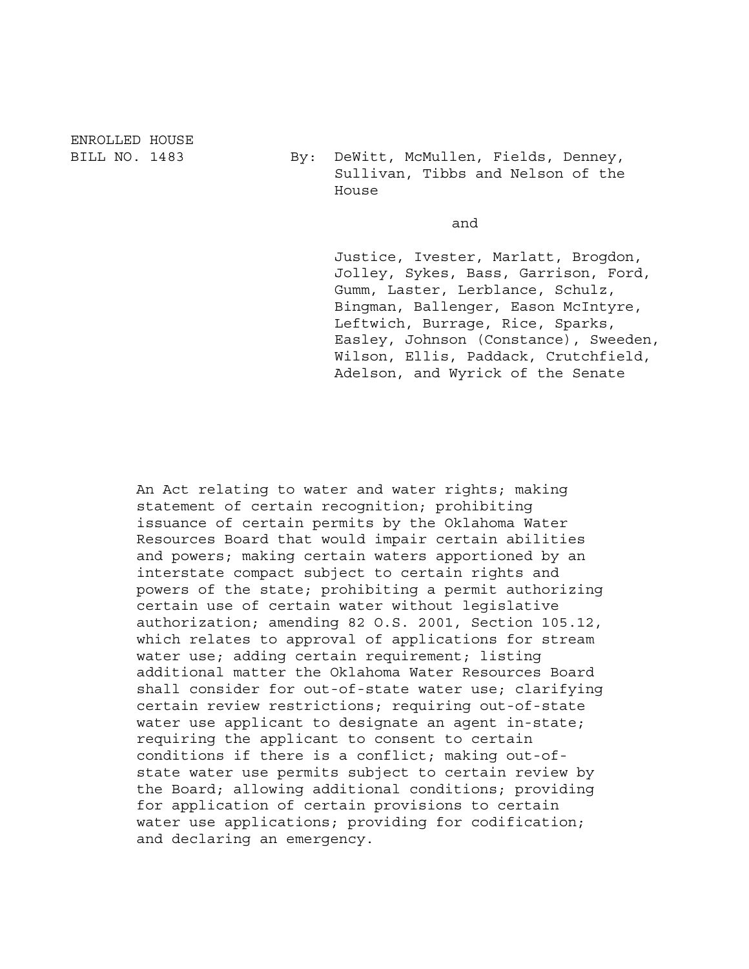ENROLLED HOUSE

BILL NO. 1483 By: DeWitt, McMullen, Fields, Denney, Sullivan, Tibbs and Nelson of the House

and

 Justice, Ivester, Marlatt, Brogdon, Jolley, Sykes, Bass, Garrison, Ford, Gumm, Laster, Lerblance, Schulz, Bingman, Ballenger, Eason McIntyre, Leftwich, Burrage, Rice, Sparks, Easley, Johnson (Constance), Sweeden, Wilson, Ellis, Paddack, Crutchfield, Adelson, and Wyrick of the Senate

An Act relating to water and water rights; making statement of certain recognition; prohibiting issuance of certain permits by the Oklahoma Water Resources Board that would impair certain abilities and powers; making certain waters apportioned by an interstate compact subject to certain rights and powers of the state; prohibiting a permit authorizing certain use of certain water without legislative authorization; amending 82 O.S. 2001, Section 105.12, which relates to approval of applications for stream water use; adding certain requirement; listing additional matter the Oklahoma Water Resources Board shall consider for out-of-state water use; clarifying certain review restrictions; requiring out-of-state water use applicant to designate an agent in-state; requiring the applicant to consent to certain conditions if there is a conflict; making out-ofstate water use permits subject to certain review by the Board; allowing additional conditions; providing for application of certain provisions to certain water use applications; providing for codification; and declaring an emergency.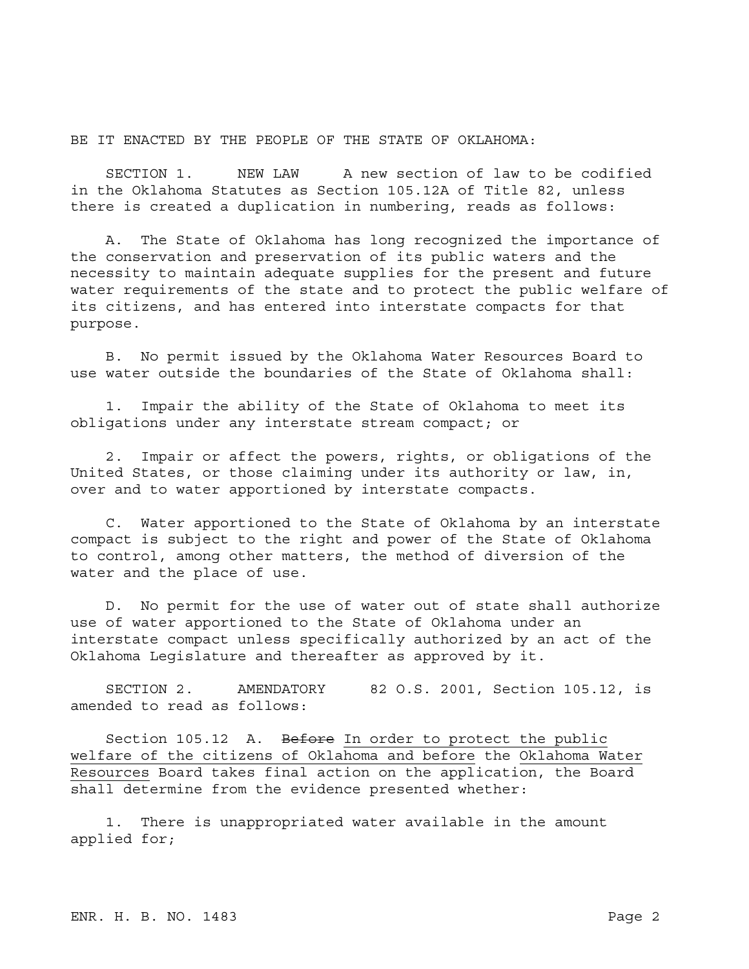BE IT ENACTED BY THE PEOPLE OF THE STATE OF OKLAHOMA:

SECTION 1. NEW LAW A new section of law to be codified in the Oklahoma Statutes as Section 105.12A of Title 82, unless there is created a duplication in numbering, reads as follows:

A. The State of Oklahoma has long recognized the importance of the conservation and preservation of its public waters and the necessity to maintain adequate supplies for the present and future water requirements of the state and to protect the public welfare of its citizens, and has entered into interstate compacts for that purpose.

B. No permit issued by the Oklahoma Water Resources Board to use water outside the boundaries of the State of Oklahoma shall:

1. Impair the ability of the State of Oklahoma to meet its obligations under any interstate stream compact; or

2. Impair or affect the powers, rights, or obligations of the United States, or those claiming under its authority or law, in, over and to water apportioned by interstate compacts.

C. Water apportioned to the State of Oklahoma by an interstate compact is subject to the right and power of the State of Oklahoma to control, among other matters, the method of diversion of the water and the place of use.

D. No permit for the use of water out of state shall authorize use of water apportioned to the State of Oklahoma under an interstate compact unless specifically authorized by an act of the Oklahoma Legislature and thereafter as approved by it.

SECTION 2. AMENDATORY 82 O.S. 2001, Section 105.12, is amended to read as follows:

Section 105.12 A. Before In order to protect the public welfare of the citizens of Oklahoma and before the Oklahoma Water Resources Board takes final action on the application, the Board shall determine from the evidence presented whether:

1. There is unappropriated water available in the amount applied for;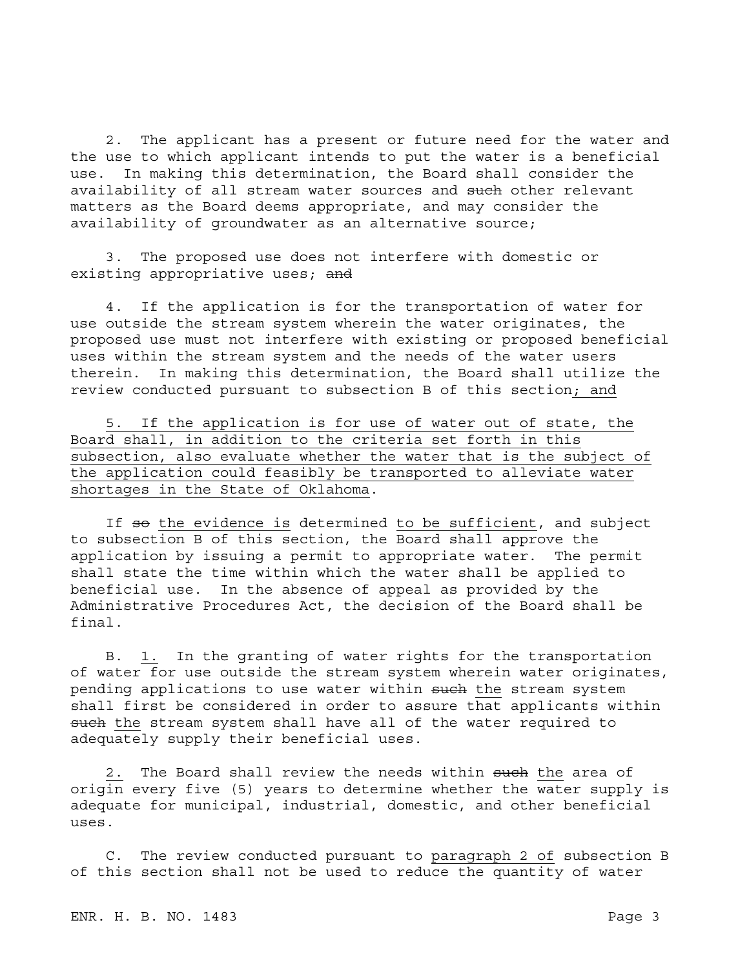2. The applicant has a present or future need for the water and the use to which applicant intends to put the water is a beneficial use. In making this determination, the Board shall consider the availability of all stream water sources and such other relevant matters as the Board deems appropriate, and may consider the availability of groundwater as an alternative source;

3. The proposed use does not interfere with domestic or existing appropriative uses; and

4. If the application is for the transportation of water for use outside the stream system wherein the water originates, the proposed use must not interfere with existing or proposed beneficial uses within the stream system and the needs of the water users therein. In making this determination, the Board shall utilize the review conducted pursuant to subsection B of this section; and

5. If the application is for use of water out of state, the Board shall, in addition to the criteria set forth in this subsection, also evaluate whether the water that is the subject of the application could feasibly be transported to alleviate water shortages in the State of Oklahoma.

If so the evidence is determined to be sufficient, and subject to subsection B of this section, the Board shall approve the application by issuing a permit to appropriate water. The permit shall state the time within which the water shall be applied to beneficial use. In the absence of appeal as provided by the Administrative Procedures Act, the decision of the Board shall be final.

B. 1. In the granting of water rights for the transportation of water for use outside the stream system wherein water originates, pending applications to use water within such the stream system shall first be considered in order to assure that applicants within such the stream system shall have all of the water required to adequately supply their beneficial uses.

2. The Board shall review the needs within such the area of origin every five (5) years to determine whether the water supply is adequate for municipal, industrial, domestic, and other beneficial uses.

C. The review conducted pursuant to paragraph 2 of subsection B of this section shall not be used to reduce the quantity of water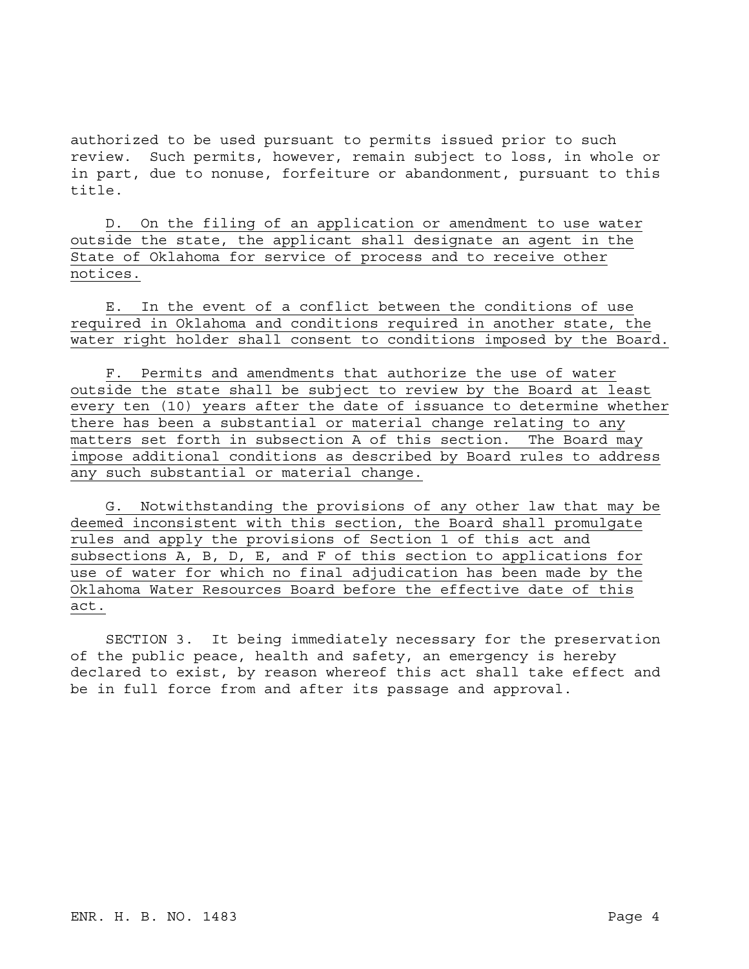authorized to be used pursuant to permits issued prior to such review. Such permits, however, remain subject to loss, in whole or in part, due to nonuse, forfeiture or abandonment, pursuant to this title.

D. On the filing of an application or amendment to use water outside the state, the applicant shall designate an agent in the State of Oklahoma for service of process and to receive other notices.

E. In the event of a conflict between the conditions of use required in Oklahoma and conditions required in another state, the water right holder shall consent to conditions imposed by the Board.

F. Permits and amendments that authorize the use of water outside the state shall be subject to review by the Board at least every ten (10) years after the date of issuance to determine whether there has been a substantial or material change relating to any matters set forth in subsection A of this section. The Board may impose additional conditions as described by Board rules to address any such substantial or material change.

G. Notwithstanding the provisions of any other law that may be deemed inconsistent with this section, the Board shall promulgate rules and apply the provisions of Section 1 of this act and subsections A, B, D, E, and F of this section to applications for use of water for which no final adjudication has been made by the Oklahoma Water Resources Board before the effective date of this act.

SECTION 3. It being immediately necessary for the preservation of the public peace, health and safety, an emergency is hereby declared to exist, by reason whereof this act shall take effect and be in full force from and after its passage and approval.